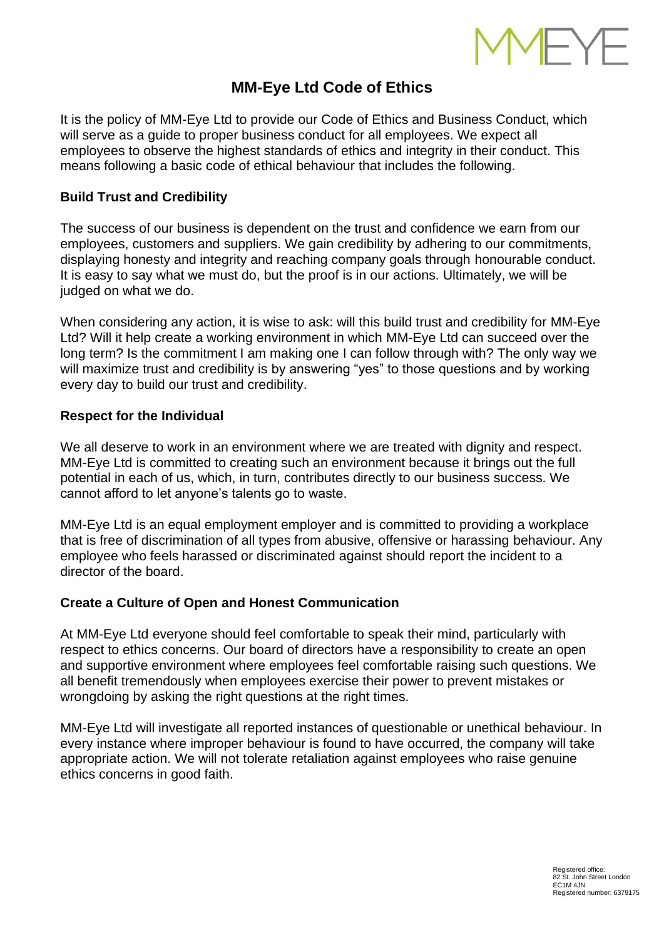

# **MM-Eye Ltd Code of Ethics**

It is the policy of MM-Eye Ltd to provide our Code of Ethics and Business Conduct, which will serve as a guide to proper business conduct for all employees. We expect all employees to observe the highest standards of ethics and integrity in their conduct. This means following a basic code of ethical behaviour that includes the following.

## **Build Trust and Credibility**

The success of our business is dependent on the trust and confidence we earn from our employees, customers and suppliers. We gain credibility by adhering to our commitments, displaying honesty and integrity and reaching company goals through honourable conduct. It is easy to say what we must do, but the proof is in our actions. Ultimately, we will be judged on what we do.

When considering any action, it is wise to ask: will this build trust and credibility for MM-Eye Ltd? Will it help create a working environment in which MM-Eye Ltd can succeed over the long term? Is the commitment I am making one I can follow through with? The only way we will maximize trust and credibility is by answering "yes" to those questions and by working every day to build our trust and credibility.

#### **Respect for the Individual**

We all deserve to work in an environment where we are treated with dignity and respect. MM-Eye Ltd is committed to creating such an environment because it brings out the full potential in each of us, which, in turn, contributes directly to our business success. We cannot afford to let anyone's talents go to waste.

MM-Eye Ltd is an equal employment employer and is committed to providing a workplace that is free of discrimination of all types from abusive, offensive or harassing behaviour. Any employee who feels harassed or discriminated against should report the incident to a director of the board.

#### **Create a Culture of Open and Honest Communication**

At MM-Eye Ltd everyone should feel comfortable to speak their mind, particularly with respect to ethics concerns. Our board of directors have a responsibility to create an open and supportive environment where employees feel comfortable raising such questions. We all benefit tremendously when employees exercise their power to prevent mistakes or wrongdoing by asking the right questions at the right times.

MM-Eye Ltd will investigate all reported instances of questionable or unethical behaviour. In every instance where improper behaviour is found to have occurred, the company will take appropriate action. We will not tolerate retaliation against employees who raise genuine ethics concerns in good faith.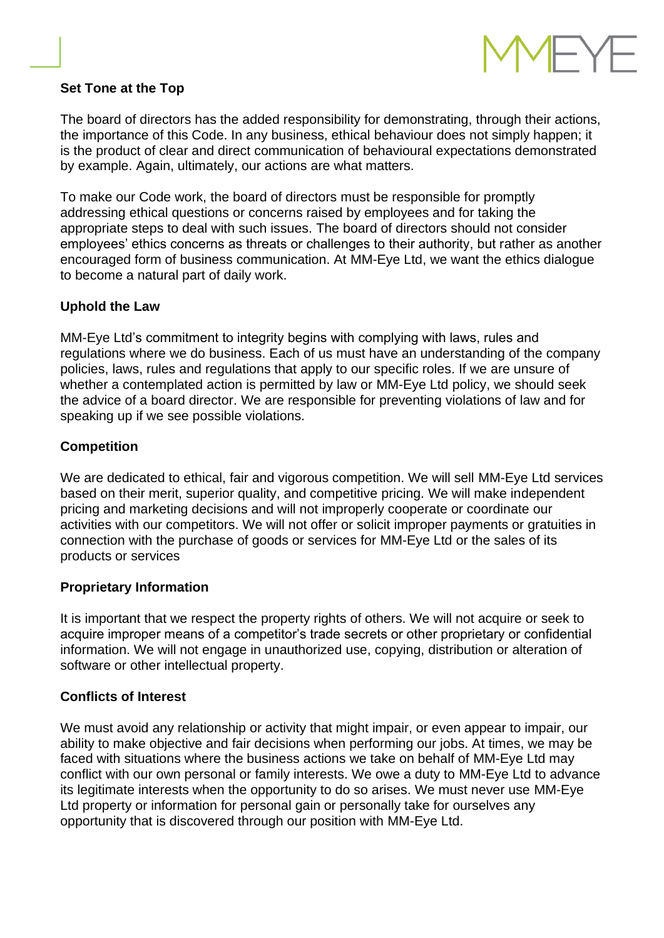

#### **Set Tone at the Top**

The board of directors has the added responsibility for demonstrating, through their actions, the importance of this Code. In any business, ethical behaviour does not simply happen; it is the product of clear and direct communication of behavioural expectations demonstrated by example. Again, ultimately, our actions are what matters.

To make our Code work, the board of directors must be responsible for promptly addressing ethical questions or concerns raised by employees and for taking the appropriate steps to deal with such issues. The board of directors should not consider employees' ethics concerns as threats or challenges to their authority, but rather as another encouraged form of business communication. At MM-Eye Ltd, we want the ethics dialogue to become a natural part of daily work.

## **Uphold the Law**

MM-Eye Ltd's commitment to integrity begins with complying with laws, rules and regulations where we do business. Each of us must have an understanding of the company policies, laws, rules and regulations that apply to our specific roles. If we are unsure of whether a contemplated action is permitted by law or MM-Eye Ltd policy, we should seek the advice of a board director. We are responsible for preventing violations of law and for speaking up if we see possible violations.

# **Competition**

We are dedicated to ethical, fair and vigorous competition. We will sell MM-Eye Ltd services based on their merit, superior quality, and competitive pricing. We will make independent pricing and marketing decisions and will not improperly cooperate or coordinate our activities with our competitors. We will not offer or solicit improper payments or gratuities in connection with the purchase of goods or services for MM-Eye Ltd or the sales of its products or services

# **Proprietary Information**

It is important that we respect the property rights of others. We will not acquire or seek to acquire improper means of a competitor's trade secrets or other proprietary or confidential information. We will not engage in unauthorized use, copying, distribution or alteration of software or other intellectual property.

# **Conflicts of Interest**

We must avoid any relationship or activity that might impair, or even appear to impair, our ability to make objective and fair decisions when performing our jobs. At times, we may be faced with situations where the business actions we take on behalf of MM-Eye Ltd may conflict with our own personal or family interests. We owe a duty to MM-Eye Ltd to advance its legitimate interests when the opportunity to do so arises. We must never use MM-Eye Ltd property or information for personal gain or personally take for ourselves any opportunity that is discovered through our position with MM-Eye Ltd.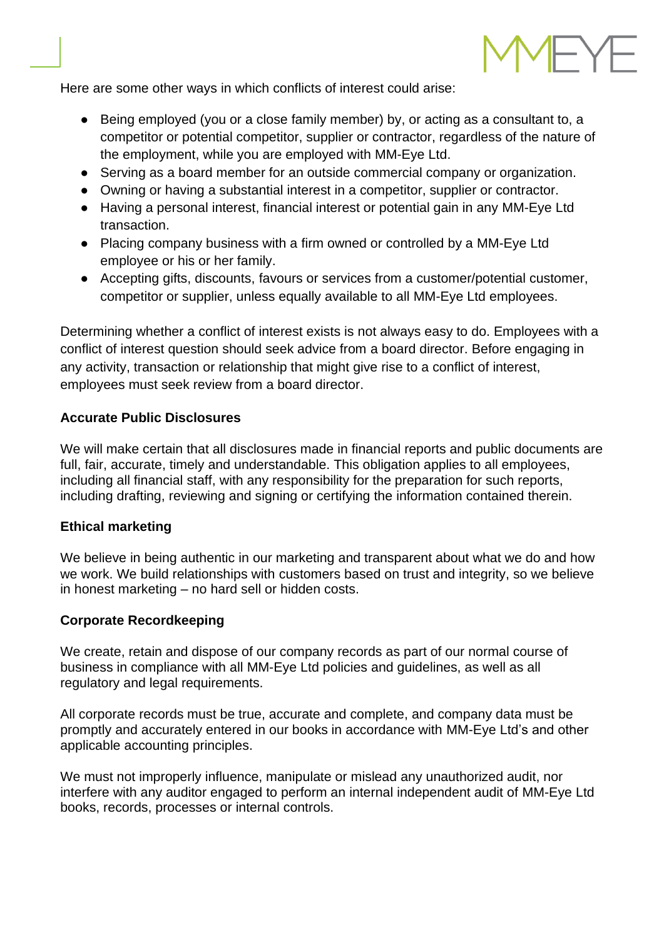

Here are some other ways in which conflicts of interest could arise:

- Being employed (you or a close family member) by, or acting as a consultant to, a competitor or potential competitor, supplier or contractor, regardless of the nature of the employment, while you are employed with MM-Eye Ltd.
- Serving as a board member for an outside commercial company or organization.
- Owning or having a substantial interest in a competitor, supplier or contractor.
- Having a personal interest, financial interest or potential gain in any MM-Eye Ltd transaction.
- Placing company business with a firm owned or controlled by a MM-Eye Ltd employee or his or her family.
- Accepting gifts, discounts, favours or services from a customer/potential customer, competitor or supplier, unless equally available to all MM-Eye Ltd employees.

Determining whether a conflict of interest exists is not always easy to do. Employees with a conflict of interest question should seek advice from a board director. Before engaging in any activity, transaction or relationship that might give rise to a conflict of interest, employees must seek review from a board director.

## **Accurate Public Disclosures**

We will make certain that all disclosures made in financial reports and public documents are full, fair, accurate, timely and understandable. This obligation applies to all employees, including all financial staff, with any responsibility for the preparation for such reports, including drafting, reviewing and signing or certifying the information contained therein.

# **Ethical marketing**

We believe in being authentic in our marketing and transparent about what we do and how we work. We build relationships with customers based on trust and integrity, so we believe in honest marketing – no hard sell or hidden costs.

# **Corporate Recordkeeping**

We create, retain and dispose of our company records as part of our normal course of business in compliance with all MM-Eye Ltd policies and guidelines, as well as all regulatory and legal requirements.

All corporate records must be true, accurate and complete, and company data must be promptly and accurately entered in our books in accordance with MM-Eye Ltd's and other applicable accounting principles.

We must not improperly influence, manipulate or mislead any unauthorized audit, nor interfere with any auditor engaged to perform an internal independent audit of MM-Eye Ltd books, records, processes or internal controls.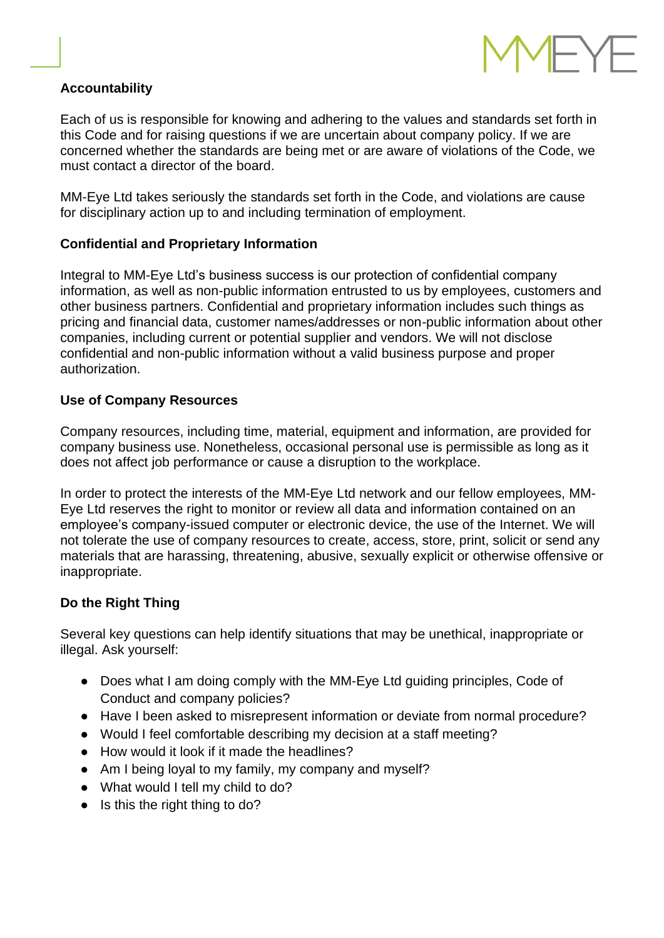

## **Accountability**

Each of us is responsible for knowing and adhering to the values and standards set forth in this Code and for raising questions if we are uncertain about company policy. If we are concerned whether the standards are being met or are aware of violations of the Code, we must contact a director of the board.

MM-Eye Ltd takes seriously the standards set forth in the Code, and violations are cause for disciplinary action up to and including termination of employment.

## **Confidential and Proprietary Information**

Integral to MM-Eye Ltd's business success is our protection of confidential company information, as well as non-public information entrusted to us by employees, customers and other business partners. Confidential and proprietary information includes such things as pricing and financial data, customer names/addresses or non-public information about other companies, including current or potential supplier and vendors. We will not disclose confidential and non-public information without a valid business purpose and proper authorization.

#### **Use of Company Resources**

Company resources, including time, material, equipment and information, are provided for company business use. Nonetheless, occasional personal use is permissible as long as it does not affect job performance or cause a disruption to the workplace.

In order to protect the interests of the MM-Eye Ltd network and our fellow employees, MM-Eye Ltd reserves the right to monitor or review all data and information contained on an employee's company-issued computer or electronic device, the use of the Internet. We will not tolerate the use of company resources to create, access, store, print, solicit or send any materials that are harassing, threatening, abusive, sexually explicit or otherwise offensive or inappropriate.

#### **Do the Right Thing**

Several key questions can help identify situations that may be unethical, inappropriate or illegal. Ask yourself:

- Does what I am doing comply with the MM-Eye Ltd guiding principles, Code of Conduct and company policies?
- Have I been asked to misrepresent information or deviate from normal procedure?
- Would I feel comfortable describing my decision at a staff meeting?
- How would it look if it made the headlines?
- Am I being loyal to my family, my company and myself?
- What would I tell my child to do?
- Is this the right thing to do?